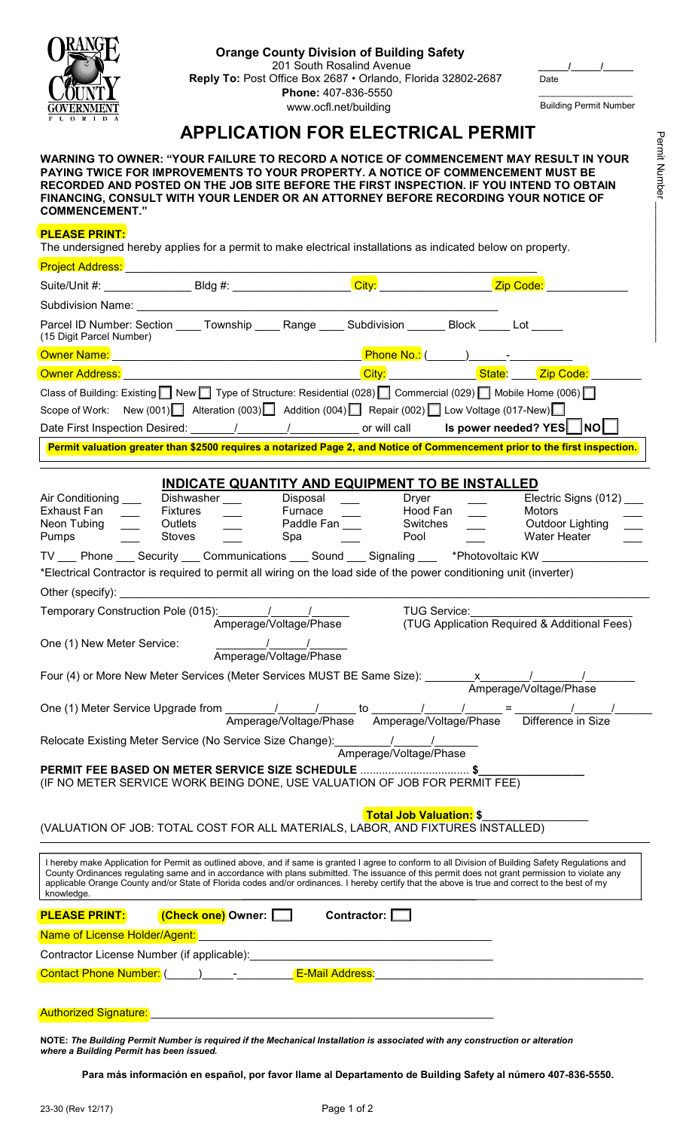

## **Orange County Division of Building Safety**

201 South Rosalind Avenue **Reply To:** Post Office Box 2687 • Orlando, Florida 32802-2687 **Phone:** 407-836-5550 www.ocfl.net/building

\_\_\_\_\_\_\_\_\_\_\_\_\_\_\_\_\_\_\_ Building Permit Number

**\_\_\_\_\_\_/\_\_\_\_\_\_/\_\_\_\_\_\_** 

Date

## **APPLICATION FOR ELECTRICAL PERMIT**

**WARNING TO OWNER: "YOUR FAILURE TO RECORD A NOTICE OF COMMENCEMENT MAY RESULT IN YOUR PAYING TWICE FOR IMPROVEMENTS TO YOUR PROPERTY. A NOTICE OF COMMENCEMENT MUST BE RECORDED AND POSTED ON THE JOB SITE BEFORE THE FIRST INSPECTION. IF YOU INTEND TO OBTAIN FINANCING, CONSULT WITH YOUR LENDER OR AN ATTORNEY BEFORE RECORDING YOUR NOTICE OF COMMENCEMENT."** 

## **PLEASE PRINT:**

The undersigned hereby applies for a permit to make electrical installations as indicated below on property.

| Project Address: National Project Address:                                                                                                                                                                                                                                                                                                                                                                                                                              |                                                                                                                         |                                       |                                                                                                                                                                                                                                                                                                                       |                                       |  |                                                                                                                             |
|-------------------------------------------------------------------------------------------------------------------------------------------------------------------------------------------------------------------------------------------------------------------------------------------------------------------------------------------------------------------------------------------------------------------------------------------------------------------------|-------------------------------------------------------------------------------------------------------------------------|---------------------------------------|-----------------------------------------------------------------------------------------------------------------------------------------------------------------------------------------------------------------------------------------------------------------------------------------------------------------------|---------------------------------------|--|-----------------------------------------------------------------------------------------------------------------------------|
| Suite/Unit #: Bldg #:                                                                                                                                                                                                                                                                                                                                                                                                                                                   |                                                                                                                         |                                       |                                                                                                                                                                                                                                                                                                                       | City:                                 |  | Zip Code:                                                                                                                   |
| Subdivision Name: William Subdivision Name:                                                                                                                                                                                                                                                                                                                                                                                                                             |                                                                                                                         |                                       |                                                                                                                                                                                                                                                                                                                       |                                       |  |                                                                                                                             |
| (15 Digit Parcel Number)                                                                                                                                                                                                                                                                                                                                                                                                                                                |                                                                                                                         |                                       | Parcel ID Number: Section _____ Township _____ Range _____ Subdivision _______ Block ______ Lot _____                                                                                                                                                                                                                 |                                       |  |                                                                                                                             |
|                                                                                                                                                                                                                                                                                                                                                                                                                                                                         |                                                                                                                         |                                       |                                                                                                                                                                                                                                                                                                                       |                                       |  |                                                                                                                             |
| <b>Owner Address:</b>                                                                                                                                                                                                                                                                                                                                                                                                                                                   |                                                                                                                         |                                       |                                                                                                                                                                                                                                                                                                                       |                                       |  |                                                                                                                             |
|                                                                                                                                                                                                                                                                                                                                                                                                                                                                         |                                                                                                                         |                                       | Class of Building: Existing $\Box$ New $\Box$ Type of Structure: Residential (028) $\Box$ Commercial (029) $\Box$ Mobile Home (006) $\Box$                                                                                                                                                                            |                                       |  |                                                                                                                             |
|                                                                                                                                                                                                                                                                                                                                                                                                                                                                         |                                                                                                                         |                                       | Scope of Work: New (001) Alteration (003) $\Box$ Addition (004) $\Box$ Repair (002) $\Box$ Low Voltage (017-New) $\Box$                                                                                                                                                                                               |                                       |  |                                                                                                                             |
|                                                                                                                                                                                                                                                                                                                                                                                                                                                                         |                                                                                                                         |                                       |                                                                                                                                                                                                                                                                                                                       |                                       |  | Date First Inspection Desired: _______/________/____________ or will call <b>Is power needed? YES</b> __ <b>NO</b> __       |
|                                                                                                                                                                                                                                                                                                                                                                                                                                                                         |                                                                                                                         |                                       |                                                                                                                                                                                                                                                                                                                       |                                       |  | Permit valuation greater than \$2500 requires a notarized Page 2, and Notice of Commencement prior to the first inspection. |
|                                                                                                                                                                                                                                                                                                                                                                                                                                                                         |                                                                                                                         |                                       |                                                                                                                                                                                                                                                                                                                       |                                       |  |                                                                                                                             |
| Air Conditioning ___<br>Exhaust Fan<br>Neon Tubing<br><b>Pumps</b>                                                                                                                                                                                                                                                                                                                                                                                                      | <b>Fixtures</b><br>Outlets<br>Stoves                                                                                    | Dishwasher ___                        | INDICATE QUANTITY AND EQUIPMENT TO BE INSTALLED<br>Disposal<br>Furnace<br>Paddle Fan<br>Spa<br>TV ___ Phone ___ Security ___ Communications ___ Sound ___ Signaling ___  *Photovoltaic KW _____<br>*Electrical Contractor is required to permit all wiring on the load side of the power conditioning unit (inverter) | Dryer<br>Hood Fan<br>Switches<br>Pool |  | Electric Signs (012)<br>Motors<br>Outdoor Lighting<br><b>Water Heater</b>                                                   |
| Other (specify): $\overline{\phantom{a}}$                                                                                                                                                                                                                                                                                                                                                                                                                               |                                                                                                                         |                                       |                                                                                                                                                                                                                                                                                                                       |                                       |  |                                                                                                                             |
|                                                                                                                                                                                                                                                                                                                                                                                                                                                                         |                                                                                                                         |                                       | Amperage/Voltage/Phase                                                                                                                                                                                                                                                                                                | <b>TUG Service:</b>                   |  |                                                                                                                             |
| (TUG Application Required & Additional Fees)<br>One (1) New Meter Service:<br>Amperage/Voltage/Phase                                                                                                                                                                                                                                                                                                                                                                    |                                                                                                                         |                                       |                                                                                                                                                                                                                                                                                                                       |                                       |  |                                                                                                                             |
|                                                                                                                                                                                                                                                                                                                                                                                                                                                                         |                                                                                                                         |                                       | Four (4) or More New Meter Services (Meter Services MUST BE Same Size): ________ x________/_________                                                                                                                                                                                                                  |                                       |  |                                                                                                                             |
|                                                                                                                                                                                                                                                                                                                                                                                                                                                                         |                                                                                                                         |                                       | Amperage/Voltage/Phase Amperage/Voltage/Phase Difference in Size                                                                                                                                                                                                                                                      |                                       |  | Amperage/Voltage/Phase                                                                                                      |
|                                                                                                                                                                                                                                                                                                                                                                                                                                                                         |                                                                                                                         |                                       |                                                                                                                                                                                                                                                                                                                       |                                       |  |                                                                                                                             |
| Amperage/Voltage/Phase<br>PERMIT FEE BASED ON METER SERVICE SIZE SCHEDULE \$<br>(IF NO METER SERVICE WORK BEING DONE, USE VALUATION OF JOB FOR PERMIT FEE)                                                                                                                                                                                                                                                                                                              |                                                                                                                         |                                       |                                                                                                                                                                                                                                                                                                                       |                                       |  |                                                                                                                             |
| <b>Total Job Valuation: \$</b><br>(VALUATION OF JOB: TOTAL COST FOR ALL MATERIALS, LABOR, AND FIXTURES INSTALLED)                                                                                                                                                                                                                                                                                                                                                       |                                                                                                                         |                                       |                                                                                                                                                                                                                                                                                                                       |                                       |  |                                                                                                                             |
| I hereby make Application for Permit as outlined above, and if same is granted I agree to conform to all Division of Building Safety Regulations and<br>County Ordinances regulating same and in accordance with plans submitted. The issuance of this permit does not grant permission to violate any<br>applicable Orange County and/or State of Florida codes and/or ordinances. I hereby certify that the above is true and correct to the best of my<br>knowledge. |                                                                                                                         |                                       |                                                                                                                                                                                                                                                                                                                       |                                       |  |                                                                                                                             |
| <b>PLEASE PRINT:</b>                                                                                                                                                                                                                                                                                                                                                                                                                                                    |                                                                                                                         | <mark>(Check one)</mark> Owner: █████ |                                                                                                                                                                                                                                                                                                                       | Contractor: $\Box$                    |  |                                                                                                                             |
| Name of License Holder/Agent:                                                                                                                                                                                                                                                                                                                                                                                                                                           |                                                                                                                         |                                       |                                                                                                                                                                                                                                                                                                                       |                                       |  |                                                                                                                             |
|                                                                                                                                                                                                                                                                                                                                                                                                                                                                         |                                                                                                                         |                                       |                                                                                                                                                                                                                                                                                                                       |                                       |  |                                                                                                                             |
|                                                                                                                                                                                                                                                                                                                                                                                                                                                                         | Contact Phone Number: (Call The Contract Phone Number: Contact Phone Number: Contact Phone Number: Contact Phone Number |                                       |                                                                                                                                                                                                                                                                                                                       |                                       |  |                                                                                                                             |
|                                                                                                                                                                                                                                                                                                                                                                                                                                                                         |                                                                                                                         |                                       |                                                                                                                                                                                                                                                                                                                       |                                       |  |                                                                                                                             |
|                                                                                                                                                                                                                                                                                                                                                                                                                                                                         |                                                                                                                         |                                       |                                                                                                                                                                                                                                                                                                                       |                                       |  |                                                                                                                             |

**NOTE:** *The Building Permit Number is required if the Mechanical Installation is associated with any construction or alteration where a Building Permit has been issued.* 

**Para más información en español, por favor llame al Departamento de Building Safety al número 407-836-5550.** 

Permit Number

Permit Number

 $\mathcal{L}_\text{max}$  and  $\mathcal{L}_\text{max}$  are the contract of the contract of the contract of the contract of the contract of the contract of the contract of the contract of the contract of the contract of the contract of the contr